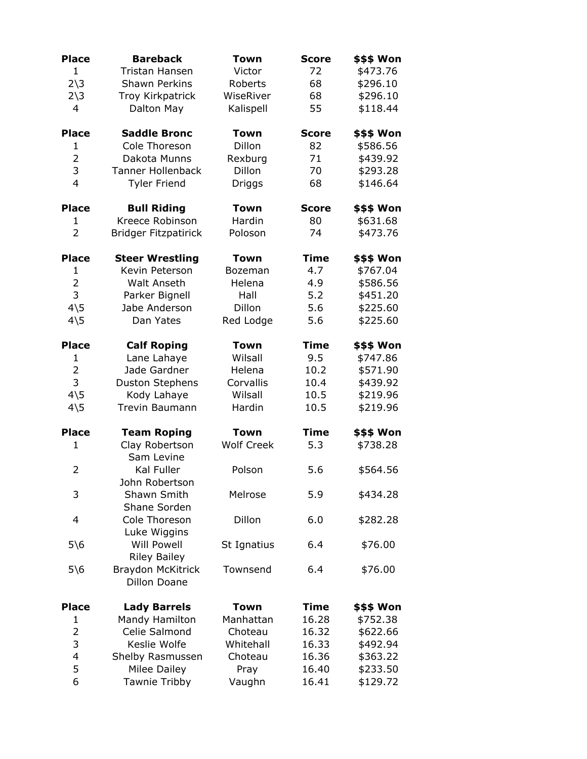| <b>Place</b>           | <b>Bareback</b>             | Town              | <b>Score</b> | \$\$\$ Won        |
|------------------------|-----------------------------|-------------------|--------------|-------------------|
| $\mathbf{1}$           | <b>Tristan Hansen</b>       | Victor            | 72           | \$473.76          |
| $2\overline{\smash)3}$ | <b>Shawn Perkins</b>        | Roberts           | 68           | \$296.10          |
| $2\overline{\smash)3}$ | Troy Kirkpatrick            | WiseRiver         | 68           | \$296.10          |
| 4                      | Dalton May                  | Kalispell         | 55           | \$118.44          |
|                        |                             |                   |              |                   |
| <b>Place</b>           | <b>Saddle Bronc</b>         | <b>Town</b>       | <b>Score</b> | <b>\$\$\$ Won</b> |
| $\mathbf{1}$           | Cole Thoreson               | Dillon            | 82           | \$586.56          |
| $\overline{2}$         | Dakota Munns                | Rexburg           | 71           | \$439.92          |
| 3                      | <b>Tanner Hollenback</b>    | Dillon            | 70           | \$293.28          |
| $\overline{4}$         | <b>Tyler Friend</b>         | Driggs            | 68           | \$146.64          |
|                        |                             |                   |              |                   |
| <b>Place</b>           | <b>Bull Riding</b>          | Town              | <b>Score</b> | \$\$\$ Won        |
| $\mathbf{1}$           | Kreece Robinson             | Hardin            | 80           | \$631.68          |
| $\overline{2}$         | <b>Bridger Fitzpatirick</b> | Poloson           | 74           | \$473.76          |
| <b>Place</b>           | <b>Steer Wrestling</b>      | <b>Town</b>       | <b>Time</b>  | <b>\$\$\$ Won</b> |
| 1                      | Kevin Peterson              | <b>Bozeman</b>    | 4.7          | \$767.04          |
| $\overline{2}$         | <b>Walt Anseth</b>          | Helena            | 4.9          | \$586.56          |
| 3                      | Parker Bignell              | Hall              | 5.2          | \$451.20          |
| $4\overline{5}$        | Jabe Anderson               | Dillon            | 5.6          | \$225.60          |
| $4\overline{5}$        | Dan Yates                   | Red Lodge         | 5.6          | \$225.60          |
|                        |                             |                   |              |                   |
| <b>Place</b>           | <b>Calf Roping</b>          | Town              | <b>Time</b>  | \$\$\$ Won        |
| 1                      | Lane Lahaye                 | Wilsall           | 9.5          | \$747.86          |
| $\overline{2}$         | Jade Gardner                | Helena            | 10.2         | \$571.90          |
| 3                      | <b>Duston Stephens</b>      | Corvallis         | 10.4         | \$439.92          |
| $4\overline{5}$        | Kody Lahaye                 | Wilsall           | 10.5         | \$219.96          |
| $4\overline{5}$        | Trevin Baumann              | Hardin            | 10.5         | \$219.96          |
|                        |                             |                   |              |                   |
| <b>Place</b>           | <b>Team Roping</b>          | <b>Town</b>       | <b>Time</b>  | \$\$\$ Won        |
| $\mathbf{1}$           | Clay Robertson              | <b>Wolf Creek</b> | 5.3          | \$738.28          |
|                        | Sam Levine                  |                   |              |                   |
| $\overline{2}$         | Kal Fuller                  | Polson            | 5.6          | \$564.56          |
|                        | John Robertson              |                   |              |                   |
| 3                      | Shawn Smith                 | Melrose           | 5.9          | \$434.28          |
|                        | Shane Sorden                |                   |              |                   |
| $\overline{4}$         | Cole Thoreson               | Dillon            | 6.0          | \$282.28          |
|                        | Luke Wiggins                |                   |              |                   |
| $5\$ 6                 | <b>Will Powell</b>          | St Ignatius       | 6.4          | \$76.00           |
|                        | <b>Riley Bailey</b>         |                   |              |                   |
| $5\$ 6                 | <b>Braydon McKitrick</b>    | Townsend          | 6.4          | \$76.00           |
|                        | <b>Dillon Doane</b>         |                   |              |                   |
| <b>Place</b>           | <b>Lady Barrels</b>         | Town              | Time         | \$\$\$ Won        |
| $\mathbf{1}$           | Mandy Hamilton              | Manhattan         | 16.28        | \$752.38          |
| $\overline{2}$         | Celie Salmond               | Choteau           | 16.32        | \$622.66          |
| 3                      | Keslie Wolfe                | Whitehall         | 16.33        | \$492.94          |
| $\overline{4}$         | Shelby Rasmussen            | Choteau           | 16.36        | \$363.22          |
| 5                      | Milee Dailey                | Pray              | 16.40        | \$233.50          |
| 6                      | Tawnie Tribby               | Vaughn            | 16.41        | \$129.72          |
|                        |                             |                   |              |                   |